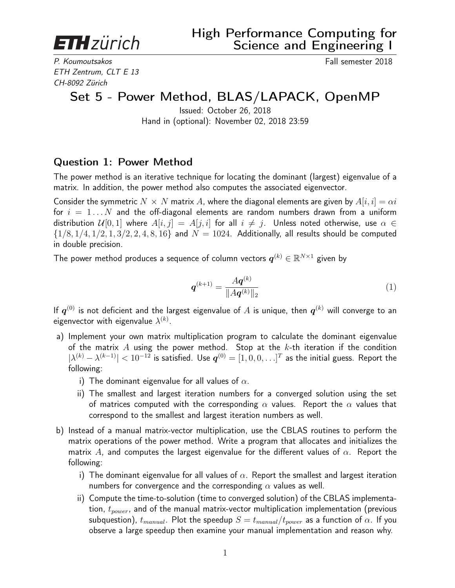**ETH** zürich

P. Koumoutsakos **Fall semester 2018** ETH Zentrum, CLT E 13 CH-8092 Zürich

## Set 5 - Power Method, BLAS/LAPACK, OpenMP

Issued: October 26, 2018 Hand in (optional): November 02, 2018 23:59

## Question 1: Power Method

The power method is an iterative technique for locating the dominant (largest) eigenvalue of a matrix. In addition, the power method also computes the associated eigenvector.

Consider the symmetric  $N \times N$  matrix A, where the diagonal elements are given by  $A[i, i] = \alpha i$ for  $i = 1...N$  and the off-diagonal elements are random numbers drawn from a uniform distribution  $\mathcal{U}[0,1]$  where  $A[i,j] = A[j,i]$  for all  $i \neq j$ . Unless noted otherwise, use  $\alpha \in$  $\{1/8, 1/4, 1/2, 1, 3/2, 2, 4, 8, 16\}$  and  $N = 1024$ . Additionally, all results should be computed in double precision.

The power method produces a sequence of column vectors  $\boldsymbol{q}^{(k)} \in \mathbb{R}^{N \times 1}$  given by

$$
\boldsymbol{q}^{(k+1)} = \frac{A\boldsymbol{q}^{(k)}}{\|A\boldsymbol{q}^{(k)}\|_2} \tag{1}
$$

If  $\bm{q}^{(0)}$  is not deficient and the largest eigenvalue of  $A$  is unique, then  $\bm{q}^{(k)}$  will converge to an eigenvector with eigenvalue  $\lambda^{(k)}.$ 

- a) Implement your own matrix multiplication program to calculate the dominant eigenvalue of the matrix A using the power method. Stop at the  $k$ -th iteration if the condition  $|\lambda^{(k)}-\lambda^{(k-1)}|< 10^{-12}$  is satisfied. Use  $\bm{q}^{(0)}=[1,0,0,\ldots]^T$  as the initial guess. Report the following:
	- i) The dominant eigenvalue for all values of  $\alpha$ .
	- ii) The smallest and largest iteration numbers for a converged solution using the set of matrices computed with the corresponding  $\alpha$  values. Report the  $\alpha$  values that correspond to the smallest and largest iteration numbers as well.
- b) Instead of a manual matrix-vector multiplication, use the CBLAS routines to perform the matrix operations of the power method. Write a program that allocates and initializes the matrix A, and computes the largest eigenvalue for the different values of  $\alpha$ . Report the following:
	- i) The dominant eigenvalue for all values of  $\alpha$ . Report the smallest and largest iteration numbers for convergence and the corresponding  $\alpha$  values as well.
	- ii) Compute the time-to-solution (time to converged solution) of the CBLAS implementation,  $t_{power}$ , and of the manual matrix-vector multiplication implementation (previous subquestion),  $t_{manual}$ . Plot the speedup  $S = t_{manual}/t_{power}$  as a function of  $\alpha$ . If you observe a large speedup then examine your manual implementation and reason why.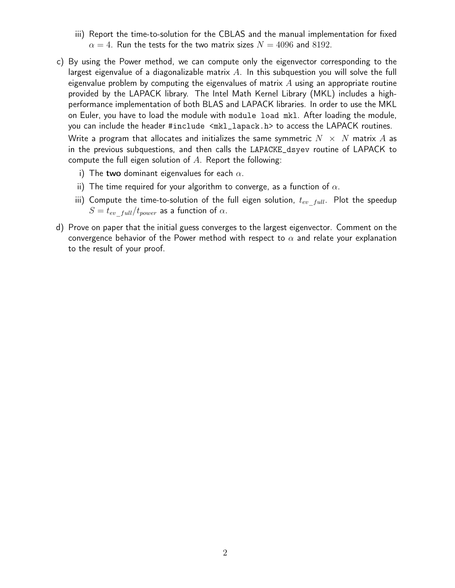- iii) Report the time-to-solution for the CBLAS and the manual implementation for fixed  $\alpha = 4$ . Run the tests for the two matrix sizes  $N = 4096$  and 8192.
- c) By using the Power method, we can compute only the eigenvector corresponding to the largest eigenvalue of a diagonalizable matrix  $A$ . In this subquestion you will solve the full eigenvalue problem by computing the eigenvalues of matrix  $\Lambda$  using an appropriate routine provided by the LAPACK library. The Intel Math Kernel Library (MKL) includes a highperformance implementation of both BLAS and LAPACK libraries. In order to use the MKL on Euler, you have to load the module with module load mkl. After loading the module, you can include the header #include <mkl\_lapack.h> to access the LAPACK routines.

Write a program that allocates and initializes the same symmetric  $N \times N$  matrix A as in the previous subquestions, and then calls the LAPACKE\_dsyev routine of LAPACK to compute the full eigen solution of  $A$ . Report the following:

- i) The two dominant eigenvalues for each  $\alpha$ .
- ii) The time required for your algorithm to converge, as a function of  $\alpha$ .
- iii) Compute the time-to-solution of the full eigen solution,  $t_{ev\_full}$ . Plot the speedup  $S = t_{ev}$   $_{full}/t_{power}$  as a function of  $\alpha$ .
- d) Prove on paper that the initial guess converges to the largest eigenvector. Comment on the convergence behavior of the Power method with respect to  $\alpha$  and relate your explanation to the result of your proof.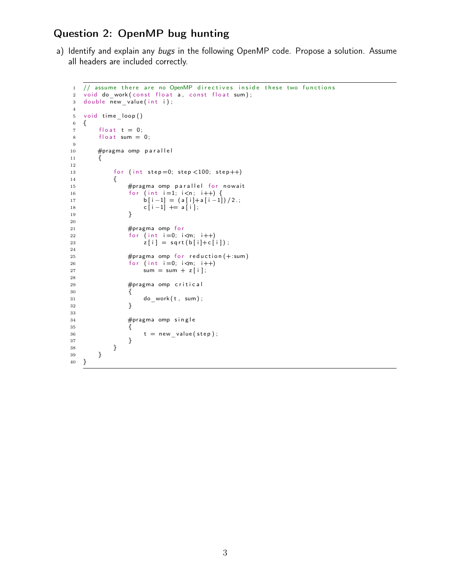## Question 2: OpenMP bug hunting

a) Identify and explain any bugs in the following OpenMP code. Propose a solution. Assume all headers are included correctly.

```
1 // assume there are no OpenMP directives inside these two functions
2 void do_work ( const float a, const float sum );
3 double new_value(int i);4
5 void time loop()
6 {
7 f loat t = 0;
8 float sum = 0;
9
10 #pragma omp parallel
11 {
12
13 for (int step = 0; step < 100; step + +)
14 {
15 #pragma omp parallel for nowait
16 for (int i=1; i<n; i++) {
17 b [i -1] = (a[i] + a[i -1])/2.;
18 c [ i -1] += a [ i ];
19 }
20
21 #pragma omp for
22 for (int i=0; i \leq m; i++)23 z[i] = sqrt(b[i]+c[i]);
24
25 #pragma omp for reduction (+:sum)
26 for (int i = 0; i < m; i++)27 sum = sum + z [i];
28
29 #pragma omp critical
30 {
31 do work ( t , sum ) ;
32 }
33
34 \#pragma omp single
35 {
36 t = new_value(step);
37 }
38 }
39 }
40 }
```